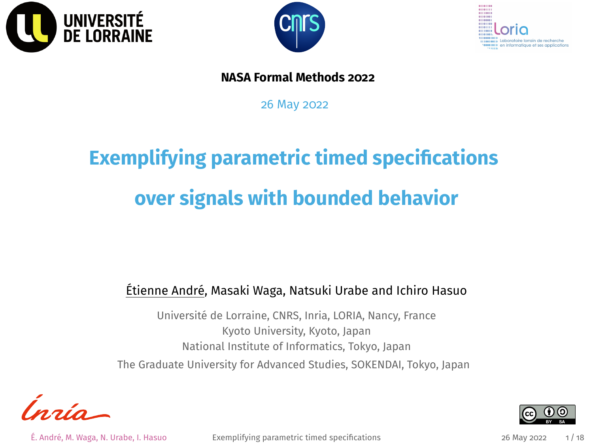<span id="page-0-0"></span>



nue et ses condication

#### **NASA Formal Methods 2022**

26 May 2022

# **Exemplifying parametric timed specifications over signals with bounded behavior**

#### Étienne André, Masaki Waga, Natsuki Urabe and Ichiro Hasuo

Université de Lorraine, CNRS, Inria, LORIA, Nancy, France Kyoto University, Kyoto, Japan National Institute of Informatics, Tokyo, Japan The Graduate University for Advanced Studies, SOKENDAI, Tokyo, Japan

É. André, M. Waga, N. Urabe, I. Hasuo [Exemplifying parametric timed specifications](#page-44-0) 26 May 2022 1 / 18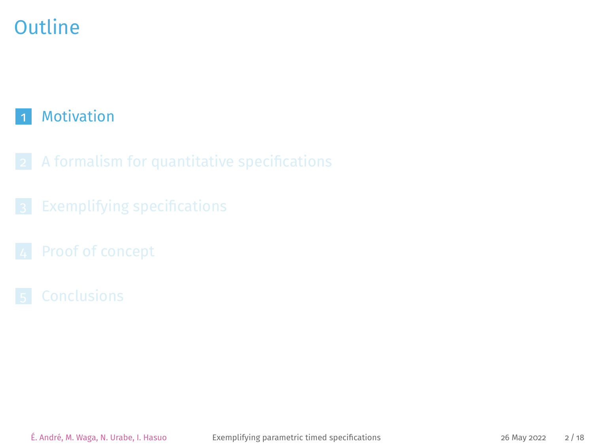## <span id="page-1-0"></span>**Outline**

#### 1 [Motivation](#page-1-0)

- 
- 
- 
-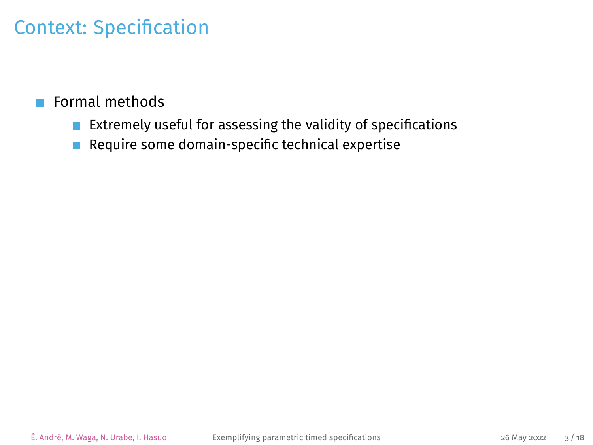#### **Formal methods**

- Extremely useful for assessing the validity of specifications  $\mathbf{r}$
- Require some domain-specific technical expertise  $\overline{\phantom{a}}$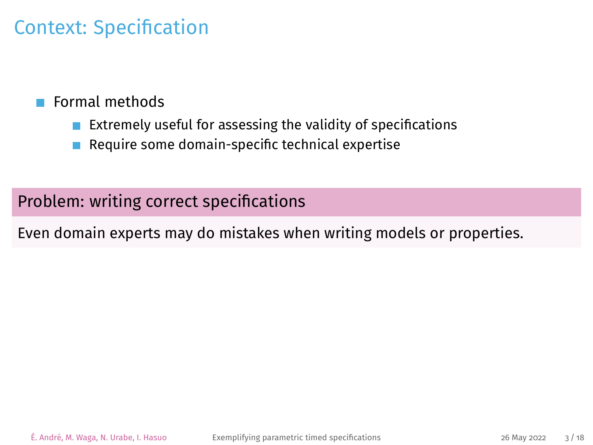#### Formal methods

- Extremely useful for assessing the validity of specifications  $\overline{\phantom{a}}$
- Require some domain-specific technical expertise  $\overline{\phantom{a}}$

#### Problem: writing correct specifications

Even domain experts may do mistakes when writing models or properties.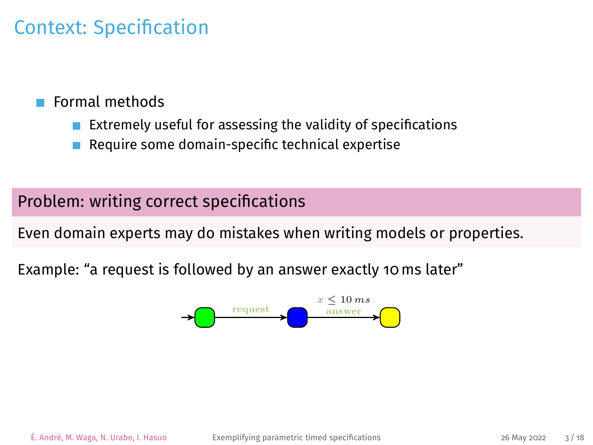#### Formal methods

- Extremely useful for assessing the validity of specifications
- Require some domain-specific technical expertise  $\overline{\phantom{a}}$

#### Problem: writing correct specifications

Even domain experts may do mistakes when writing models or properties.

$$
\leftarrow
$$
  $\longrightarrow$   $\longrightarrow$   $\longrightarrow$   $\longrightarrow$   $\longrightarrow$   $\longrightarrow$   $\longrightarrow$   $\longrightarrow$   $\longrightarrow$   $\longrightarrow$   $\longrightarrow$   $\longrightarrow$   $\longrightarrow$   $\longrightarrow$   $\longrightarrow$   $\longrightarrow$   $\longrightarrow$   $\longrightarrow$   $\longrightarrow$   $\longrightarrow$   $\longrightarrow$   $\longrightarrow$   $\longrightarrow$   $\longrightarrow$   $\longrightarrow$   $\longrightarrow$   $\longrightarrow$   $\longrightarrow$   $\longrightarrow$   $\longrightarrow$   $\longrightarrow$   $\longrightarrow$   $\longrightarrow$   $\longrightarrow$   $\longrightarrow$   $\longrightarrow$   $\longrightarrow$   $\longrightarrow$   $\longrightarrow$   $\longrightarrow$   $\longrightarrow$   $\longrightarrow$   $\longrightarrow$   $\longrightarrow$   $\longrightarrow$   $\longrightarrow$   $\longrightarrow$   $\longrightarrow$   $\longrightarrow$   $\longrightarrow$   $\longrightarrow$   $\longrightarrow$   $\longrightarrow$   $\longrightarrow$   $\longrightarrow$   $\longrightarrow$   $\longrightarrow$   $\longrightarrow$   $\longrightarrow$   $\longrightarrow$   $\longrightarrow$   $\longrightarrow$   $\longrightarrow$   $\longrightarrow$   $\longrightarrow$   $\longrightarrow$   $\longrightarrow$   $\longrightarrow$   $\longrightarrow$   $\longrightarrow$   $\longrightarrow$   $\longrightarrow$   $\longrightarrow$   $\longrightarrow$   $\longrightarrow$   $\longrightarrow$   $\longrightarrow$   $\longrightarrow$   $\longrightarrow$   $\longrightarrow$   $\longrightarrow$   $\longrightarrow$   $\longrightarrow$   $\longrightarrow$   $\longrightarrow$   $\longrightarrow$   $\longrightarrow$   $\longrightarrow$   $\longrightarrow$   $\longrightarrow$   $\longrightarrow$   $\longrightarrow$   $\longrightarrow$   $\longrightarrow$   $\longrightarrow$   $\longrightarrow$   $\longrightarrow$   $\longrightarrow$   $\longrightarrow$   $\longrightarrow$   $\longrightarrow$   $\longrightarrow$   $\longrightarrow$   $\longrightarrow$   $\longrightarrow$   $\longrightarrow$   $\longrightarrow$   $\longrightarrow$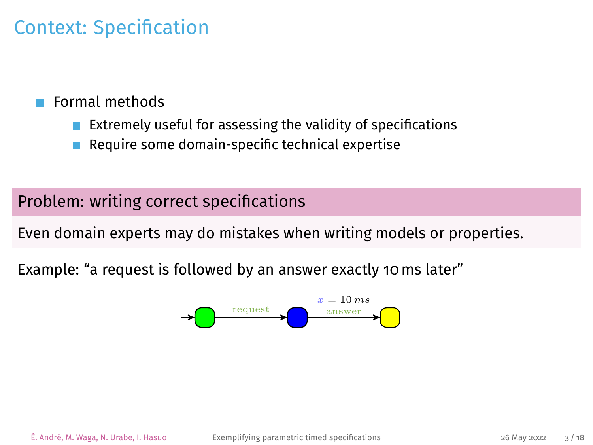#### Formal methods

- Extremely useful for assessing the validity of specifications
- Require some domain-specific technical expertise  $\overline{\phantom{a}}$

#### Problem: writing correct specifications

Even domain experts may do mistakes when writing models or properties.

$$
\leftarrow
$$
  $x = 10 msanswer$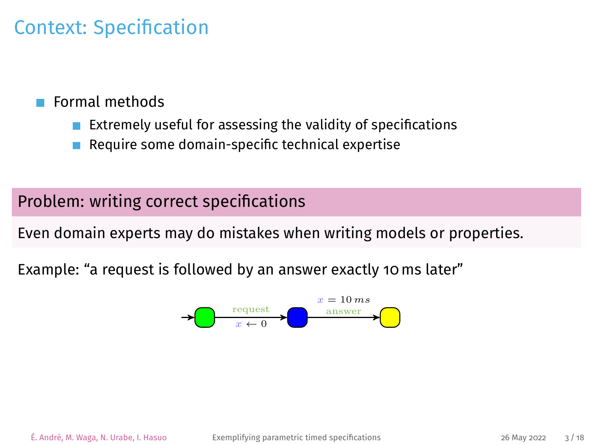#### Formal methods

- Extremely useful for assessing the validity of specifications
- Require some domain-specific technical expertise  $\overline{\phantom{a}}$

#### Problem: writing correct specifications

Even domain experts may do mistakes when writing models or properties.

$$
\leftarrow
$$
  $x = 10 ms\n $x \leftarrow 0$   $x \leftarrow 0$   $x \leftarrow 0$$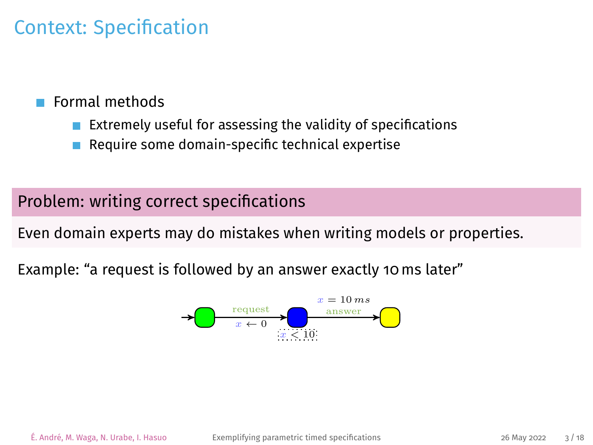#### Formal methods

- Extremely useful for assessing the validity of specifications
- Require some domain-specific technical expertise  $\overline{\phantom{a}}$

#### Problem: writing correct specifications

Even domain experts may do mistakes when writing models or properties.

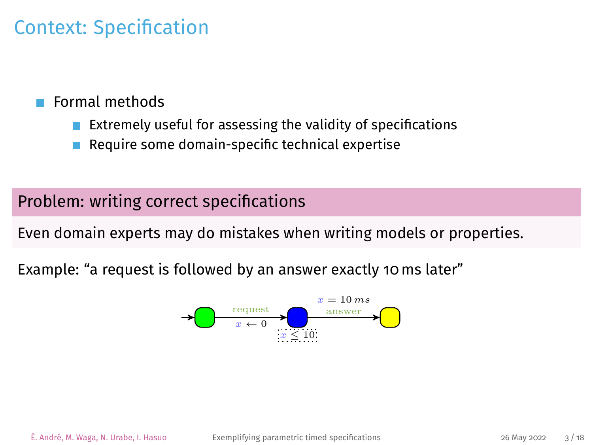#### Formal methods

- Extremely useful for assessing the validity of specifications
- Require some domain-specific technical expertise  $\overline{\phantom{a}}$

#### Problem: writing correct specifications

Even domain experts may do mistakes when writing models or properties.

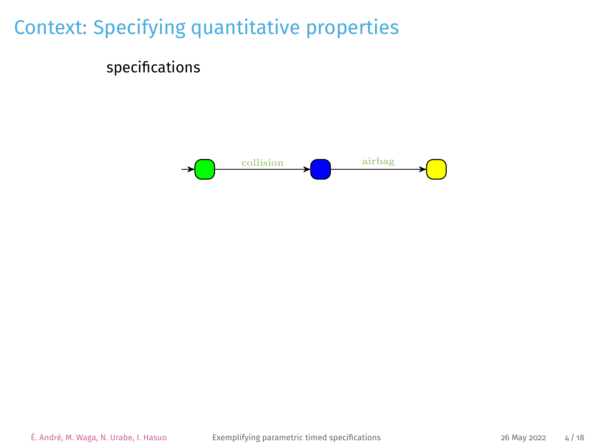#### specifications

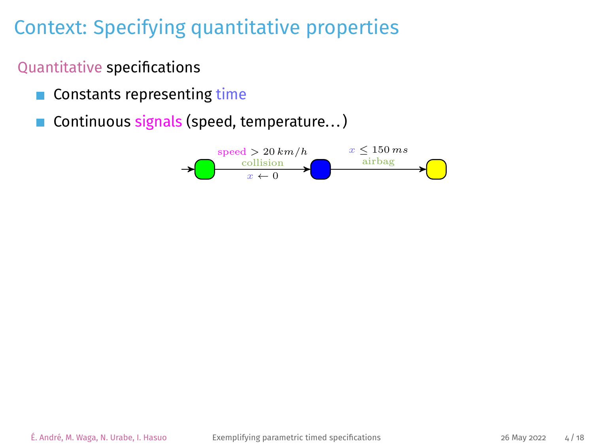#### Quantitative specifications

- Constants representing time  $\mathcal{L}_{\mathcal{A}}$
- Continuous signals (speed, temperature. . . )

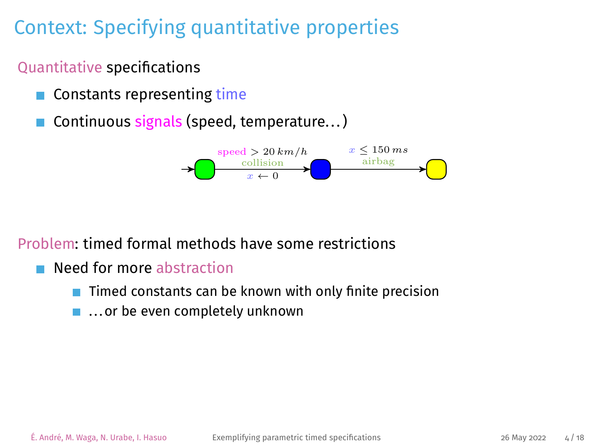#### Quantitative specifications

- Constants representing time
- Continuous signals (speed, temperature. . . )



Problem: timed formal methods have some restrictions

- **Need for more abstraction** 
	- Timed constants can be known with only finite precision п
	- ...or be even completely unknown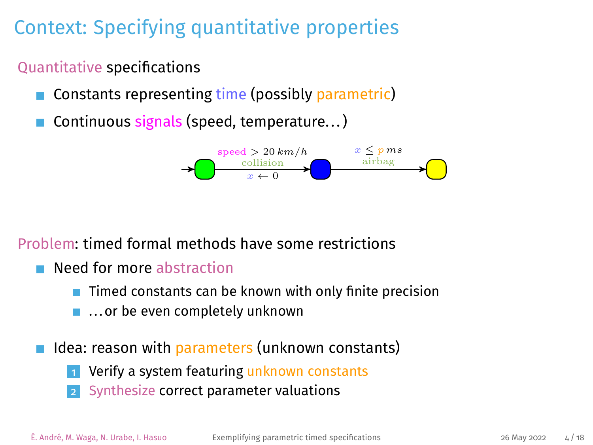#### Quantitative specifications

- Constants representing time (possibly parametric)
- Continuous signals (speed, temperature...)



#### Problem: timed formal methods have some restrictions

- **Need for more abstraction** 
	- Timed constants can be known with only finite precision
	- ...or be even completely unknown
- Idea: reason with parameters (unknown constants)
	- Verify a system featuring unknown constants
	- Synthesize correct parameter valuations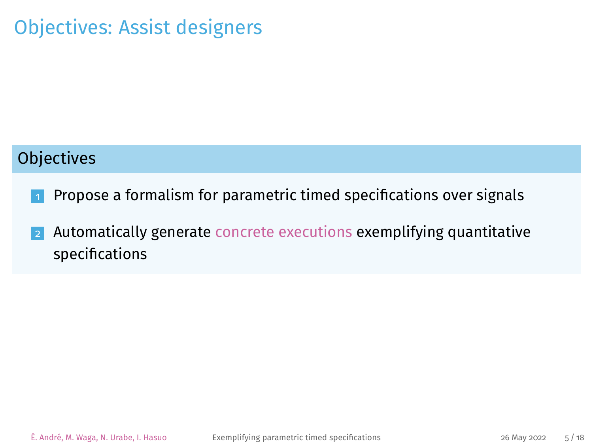## Objectives: Assist designers

#### **Objectives**

- **1** Propose a formalism for parametric timed specifications over signals
- 2 Automatically generate concrete executions exemplifying quantitative specifications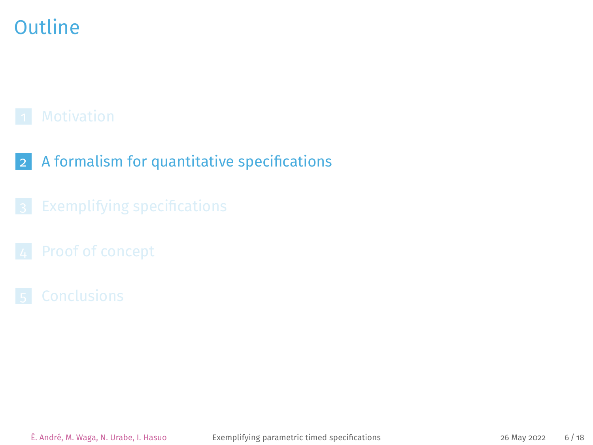## <span id="page-14-0"></span>**Outline**

- 2 [A formalism for quantitative specifications](#page-14-0)
- 
- 
-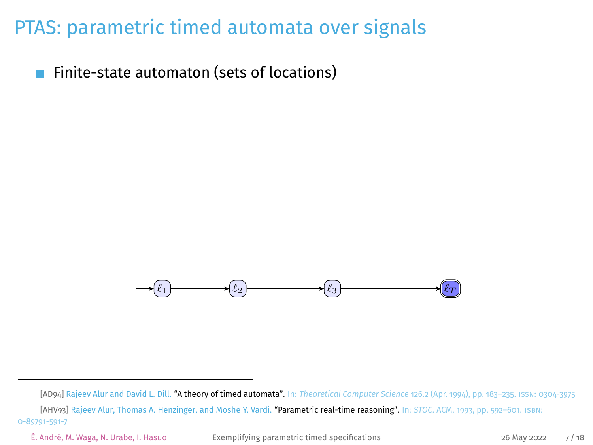Finite-state automaton (sets of locations)



[<sup>\[</sup>AD94\]](#page-41-0) Rajeev Alur and David L. Dill. "A theory of timed automata". In: *Theoretical Computer Science* 126.2 (Apr. 1994), pp. 183–235. issn: 0304-3975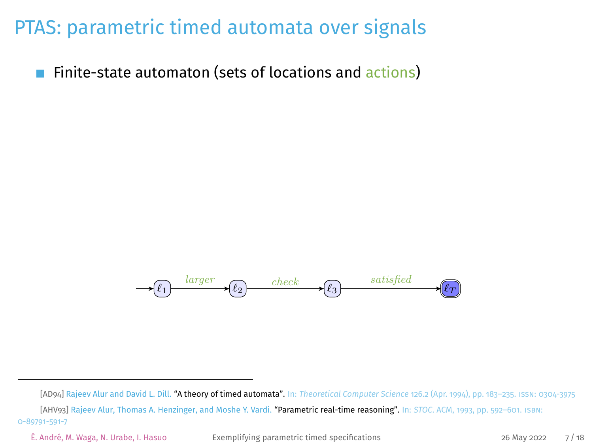Finite-state automaton (sets of locations and actions)



[<sup>\[</sup>AD94\]](#page-41-0) Rajeev Alur and David L. Dill. "A theory of timed automata". In: *Theoretical Computer Science* 126.2 (Apr. 1994), pp. 183–235. issn: 0304-3975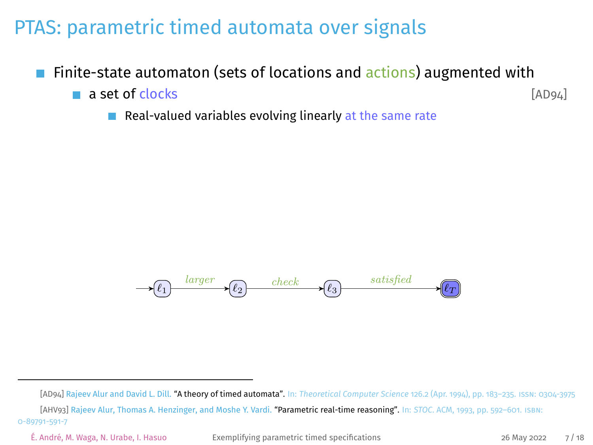Finite-state automaton (sets of locations and actions) augmented with

**a set of** clocks [\[AD94\]](#page-41-0)  $\sim$ 

Real-valued variables evolving linearly at the same rate



[<sup>\[</sup>AD94\]](#page-41-0) Rajeev Alur and David L. Dill. "A theory of timed automata". In: *Theoretical Computer Science* 126.2 (Apr. 1994), pp. 183–235. issn: 0304-3975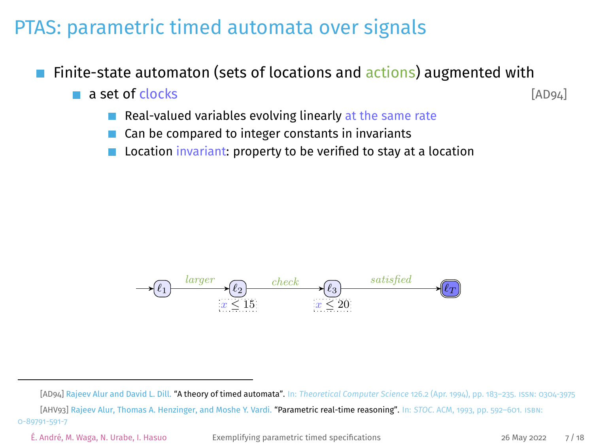- Finite-state automaton (sets of locations and actions) augmented with
	- **a set of** clocks [\[AD94\]](#page-41-0) **COL**

- Real-valued variables evolving linearly at the same rate
- Can be compared to integer constants in invariants
- Location invariant: property to be verified to stay at a location



[<sup>\[</sup>AD94\]](#page-41-0) Rajeev Alur and David L. Dill. "A theory of timed automata". In: *Theoretical Computer Science* 126.2 (Apr. 1994), pp. 183–235. issn: 0304-3975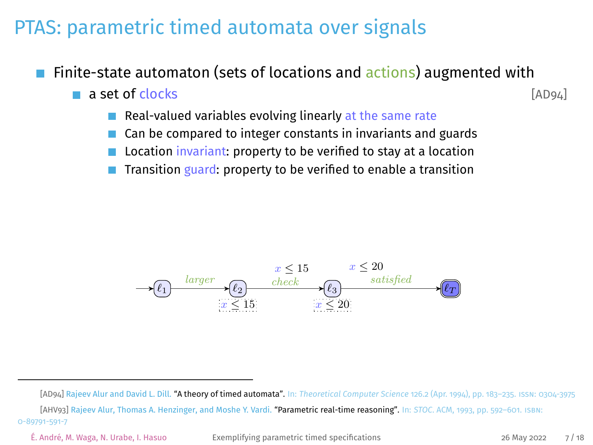Finite-state automaton (sets of locations and actions) augmented with

a set of clocks [\[AD94\]](#page-41-0) **COL** 

- Real-valued variables evolving linearly at the same rate
- Can be compared to integer constants in invariants and guards
- Location invariant: property to be verified to stay at a location
- Transition guard: property to be verified to enable a transition



[<sup>\[</sup>AD94\]](#page-41-0) Rajeev Alur and David L. Dill. "A theory of timed automata". In: *Theoretical Computer Science* 126.2 (Apr. 1994), pp. 183–235. issn: 0304-3975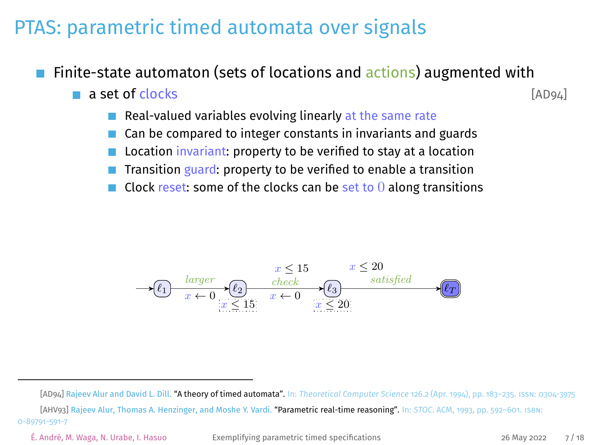Finite-state automaton (sets of locations and actions) augmented with

a set of clocks [\[AD94\]](#page-41-0)

- Real-valued variables evolving linearly at the same rate
- Can be compared to integer constants in invariants and guards
- Location invariant: property to be verified to stay at a location
- Transition guard: property to be verified to enable a transition
- Clock reset: some of the clocks can be set to  $0$  along transitions



[<sup>\[</sup>AD94\]](#page-41-0) Rajeev Alur and David L. Dill. "A theory of timed automata". In: *Theoretical Computer Science* 126.2 (Apr. 1994), pp. 183–235. issn: 0304-3975

[<sup>\[</sup>AHV93\]](#page-41-1) Rajeev Alur, Thomas A. Henzinger, and Moshe Y. Vardi. "Parametric real-time reasoning". In: *STOC*. ACM, 1993, pp. 592–601. isbn: 0-89791-591-7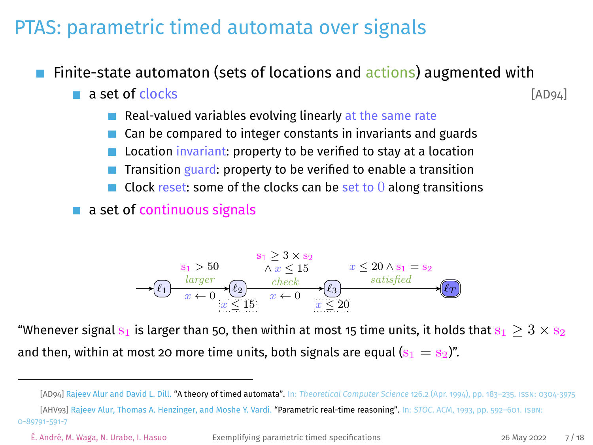Finite-state automaton (sets of locations and actions) augmented with

a set of clocks [\[AD94\]](#page-41-0) **COL** 

- Real-valued variables evolving linearly at the same rate
- Can be compared to integer constants in invariants and guards
- Location invariant: property to be verified to stay at a location
- Transition guard: property to be verified to enable a transition
- Clock reset: some of the clocks can be set to  $0$  along transitions
- a set of continuous signals



"Whenever signal  $s_1$  is larger than 50, then within at most 15 time units, it holds that  $s_1 > 3 \times s_2$ and then, within at most 20 more time units, both signals are equal  $(s_1 = s_2)$ ".

[<sup>\[</sup>AD94\]](#page-41-0) Rajeev Alur and David L. Dill. "A theory of timed automata". In: *Theoretical Computer Science* 126.2 (Apr. 1994), pp. 183–235. issn: 0304-3975

[<sup>\[</sup>AHV93\]](#page-41-1) Rajeev Alur, Thomas A. Henzinger, and Moshe Y. Vardi. "Parametric real-time reasoning". In: *STOC*. ACM, 1993, pp. 592–601. isbn: 0-89791-591-7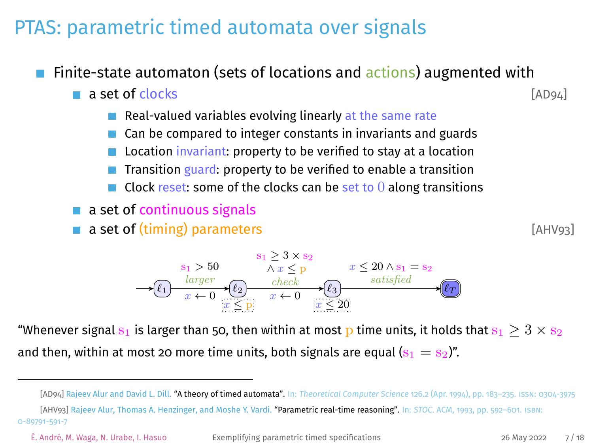Finite-state automaton (sets of locations and actions) augmented with

a set of clocks [\[AD94\]](#page-41-0)

- Real-valued variables evolving linearly at the same rate
- Can be compared to integer constants in invariants and guards
- Location invariant: property to be verified to stay at a location
- Transition guard: property to be verified to enable a transition
- Clock reset: some of the clocks can be set to  $0$  along transitions
- a set of continuous signals
- **a set of (timing) parameters [\[AHV93\]](#page-41-1)**



"Whenever signal  $s_1$  is larger than 50, then within at most  $p$  time units, it holds that  $s_1 \geq 3 \times s_2$ and then, within at most 20 more time units, both signals are equal  $(s_1 = s_2)$ ".

É. André, M. Waga, N. Urabe, I. Hasuo [Exemplifying parametric timed specifications](#page-0-0) 26 May 2022 7 / 18

[<sup>\[</sup>AD94\]](#page-41-0) Rajeev Alur and David L. Dill. "A theory of timed automata". In: *Theoretical Computer Science* 126.2 (Apr. 1994), pp. 183–235. issn: 0304-3975

[<sup>\[</sup>AHV93\]](#page-41-1) Rajeev Alur, Thomas A. Henzinger, and Moshe Y. Vardi. "Parametric real-time reasoning". In: *STOC*. ACM, 1993, pp. 592–601. isbn: 0-89791-591-7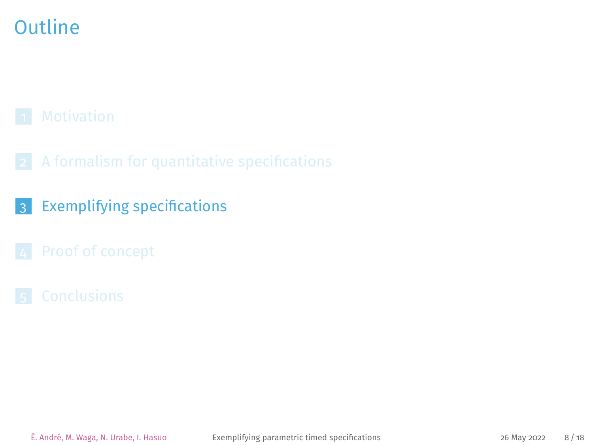## <span id="page-23-0"></span>**Outline**

- 
- 3 [Exemplifying specifications](#page-23-0)
- 
-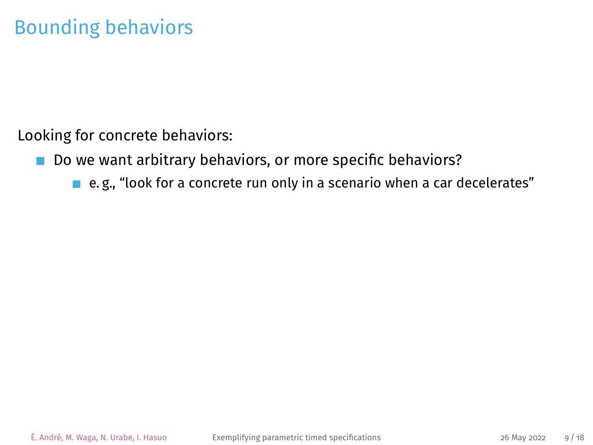## Bounding behaviors

Looking for concrete behaviors:

- Do we want arbitrary behaviors, or more specific behaviors?  $\mathcal{L}_{\mathcal{A}}$ 
	- e.g., "look for a concrete run only in a scenario when a car decelerates"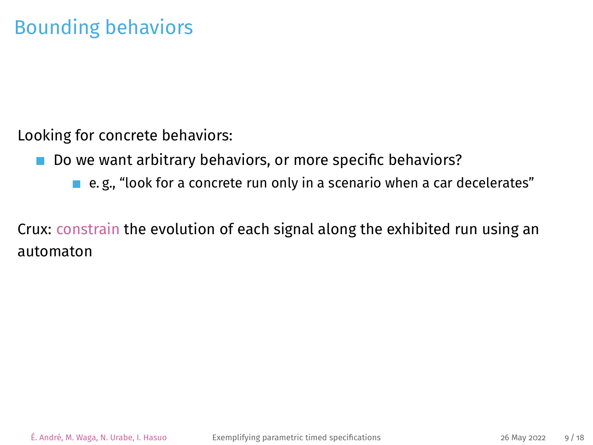## Bounding behaviors

Looking for concrete behaviors:

- Do we want arbitrary behaviors, or more specific behaviors?
	- e.g., "look for a concrete run only in a scenario when a car decelerates"

Crux: constrain the evolution of each signal along the exhibited run using an automaton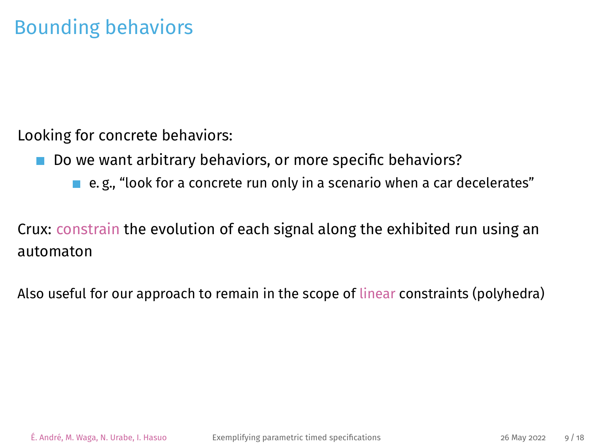## Bounding behaviors

Looking for concrete behaviors:

- Do we want arbitrary behaviors, or more specific behaviors?
	- e.g., "look for a concrete run only in a scenario when a car decelerates"

Crux: constrain the evolution of each signal along the exhibited run using an automaton

Also useful for our approach to remain in the scope of linear constraints (polyhedra)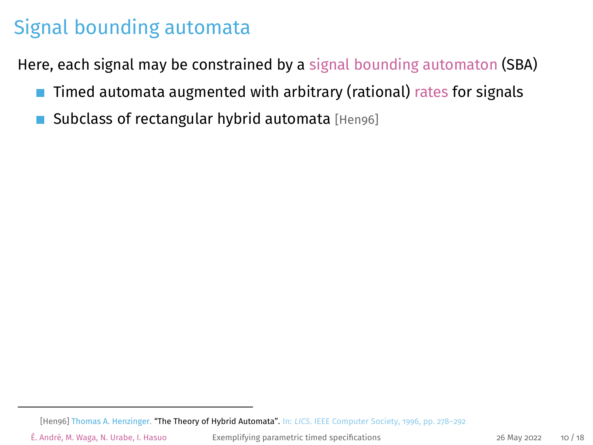## Signal bounding automata

Here, each signal may be constrained by a signal bounding automaton (SBA)

- $\blacksquare$  Timed automata augmented with arbitrary (rational) rates for signals
- Subclass of rectangular hybrid automata [\[Hen96\]](#page-42-0)

[\[Hen96\]](#page-42-0) Thomas A. Henzinger. "The Theory of Hybrid Automata". In: *LICS*. IEEE Computer Society, 1996, pp. 278–292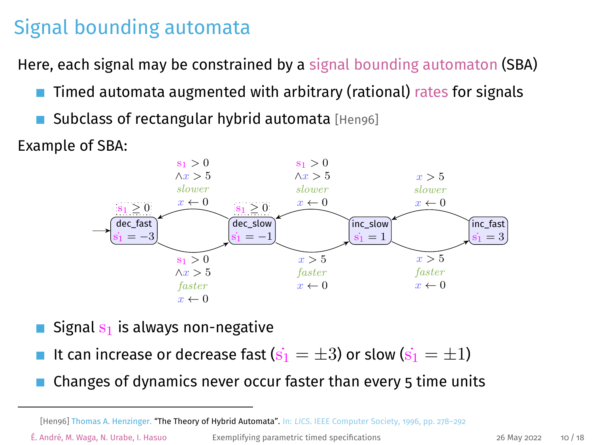## Signal bounding automata

Here, each signal may be constrained by a signal bounding automaton (SBA)

- $\blacksquare$  Timed automata augmented with arbitrary (rational) rates for signals
- Subclass of rectangular hybrid automata [\[Hen96\]](#page-42-0)

Example of SBA:



- Signal  $s_1$  is always non-negative
- It can increase or decrease fast  $(s_1 = \pm 3)$  or slow  $(s_1 = \pm 1)$
- Changes of dynamics never occur faster than every 5 time units

É. André, M. Waga, N. Urabe, I. Hasuo [Exemplifying parametric timed specifications](#page-0-0) 26 May 2022 10 / 18

[<sup>\[</sup>Hen96\]](#page-42-0) Thomas A. Henzinger. "The Theory of Hybrid Automata". In: *LICS*. IEEE Computer Society, 1996, pp. 278–292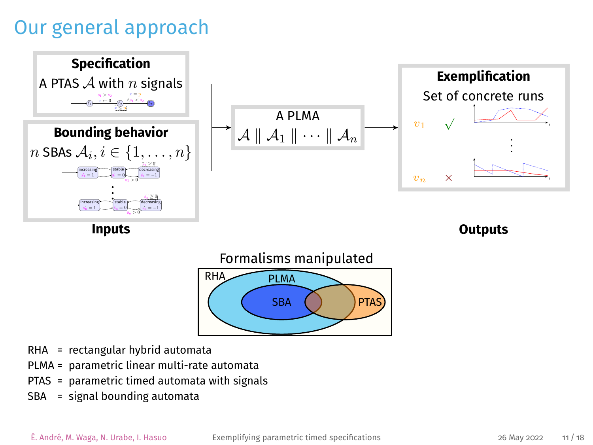## Our general approach





- RHA = rectangular hybrid automata
- PLMA = parametric linear multi-rate automata
- PTAS = parametric timed automata with signals
- SBA = signal bounding automata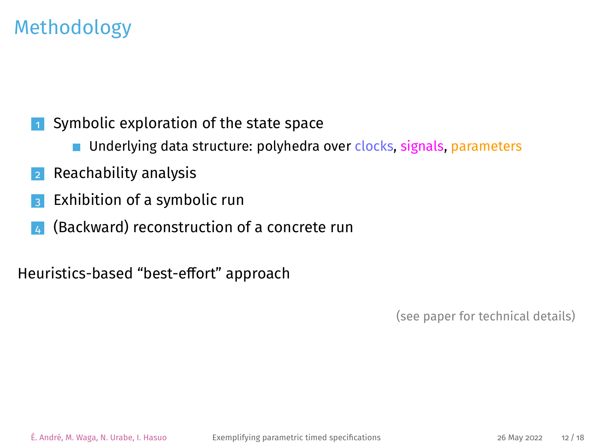## Methodology

- **1** Symbolic exploration of the state space
	- Underlying data structure: polyhedra over clocks, signals, parameters  $\overline{\phantom{a}}$
- 2 Reachability analysis
- **3** Exhibition of a symbolic run
- 4 (Backward) reconstruction of a concrete run

Heuristics-based "best-effort" approach

(see paper for technical details)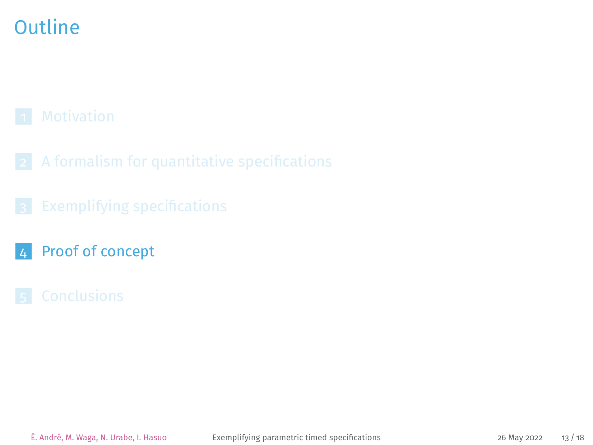## <span id="page-31-0"></span>**Outline**

- 
- 
- 4 [Proof of concept](#page-31-0)
-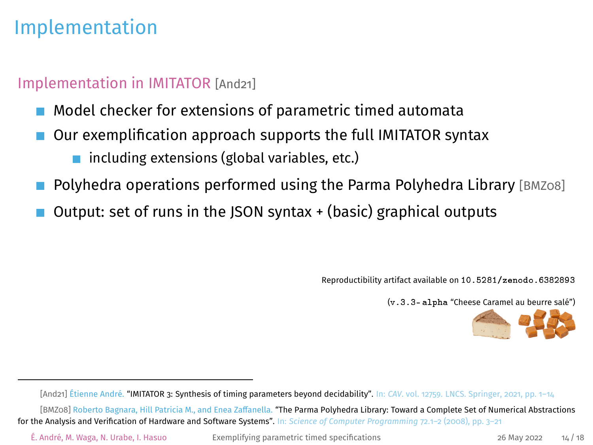## Implementation

#### Implementation in [IMITATOR](http://www.imitator.fr/) [\[And21\]](#page-41-2)

- Model checker for extensions of parametric timed automata
- Our exemplification approach supports the full [IMITATOR](http://www.imitator.fr/) syntax
	- including extensions (global variables, etc.)  $\overline{\phantom{a}}$
- Polyhedra operations performed using the Parma Polyhedra Library [\[BMZ08\]](#page-42-1)
- Output: set of runs in the JSON syntax + (basic) graphical outputs

Reproductibility artifact available on [10.5281/zenodo.6382893](https://www.doi.org/10.5281/zenodo.6382893)

([v.3.3-alpha](https://github.com/imitator-model-checker/imitator/releases/tag/v3.3.0-alpha) "Cheese Caramel au beurre salé")



[\[And21\]](#page-41-2) Étienne André. "IMITATOR 3: Synthesis of timing parameters beyond decidability". In: *CAV*. vol. 12759. LNCS. Springer, 2021, pp. 1–14

[\[BMZ08\]](#page-42-1) Roberto Bagnara, Hill Patricia M., and Enea Zaffanella. "The Parma Polyhedra Library: Toward a Complete Set of Numerical Abstractions for the Analysis and Verification of Hardware and Software Systems". In: *Science of Computer Programming* 72.1–2 (2008), pp. 3–21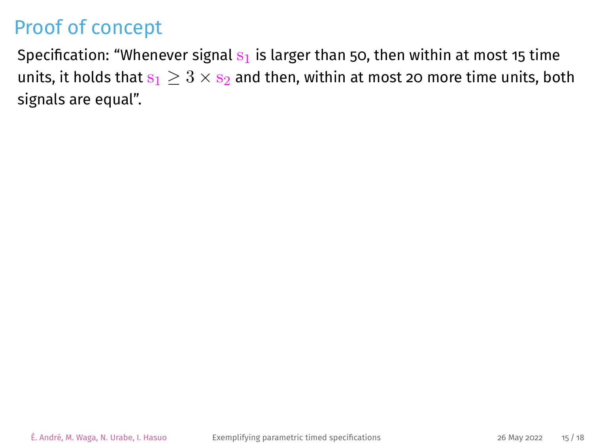Specification: "Whenever signal  $s_1$  is larger than 50, then within at most 15 time units, it holds that  $s_1 \geq 3 \times s_2$  and then, within at most 20 more time units, both signals are equal".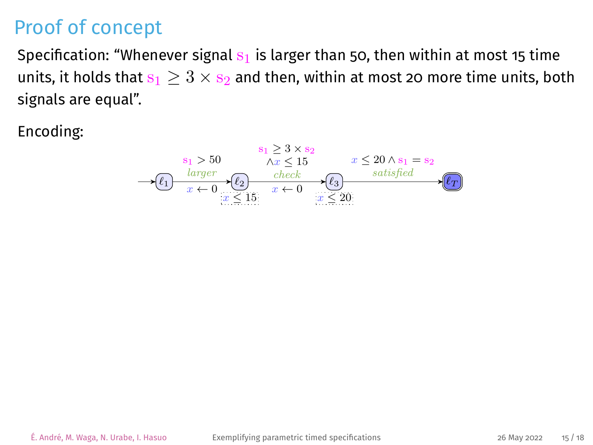Specification: "Whenever signal  $s_1$  is larger than 50, then within at most 15 time units, it holds that  $s_1 > 3 \times s_2$  and then, within at most 20 more time units, both signals are equal".

Encoding:

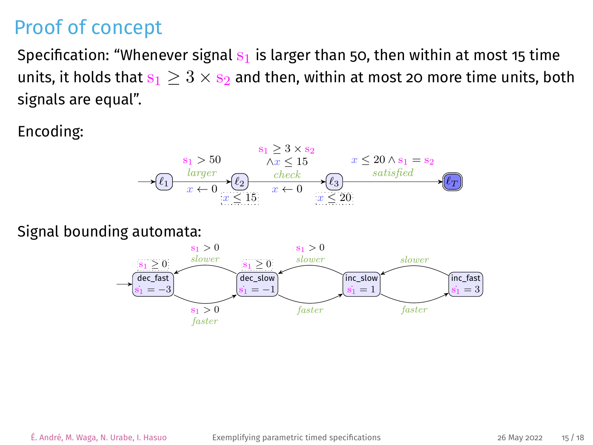Specification: "Whenever signal  $s_1$  is larger than 50, then within at most 15 time units, it holds that  $s_1 \geq 3 \times s_2$  and then, within at most 20 more time units, both signals are equal".

Encoding:



#### Signal bounding automata:

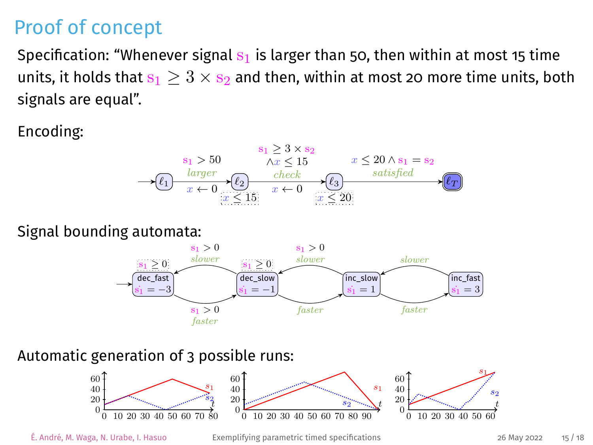Specification: "Whenever signal  $s_1$  is larger than 50, then within at most 15 time units, it holds that  $s_1 \geq 3 \times s_2$  and then, within at most 20 more time units, both signals are equal".

Encoding:



Signal bounding automata:



Automatic generation of 3 possible runs:



É. André, M. Waga, N. Urabe, I. Hasuo [Exemplifying parametric timed specifications](#page-0-0) 26 May 2022 15 / 18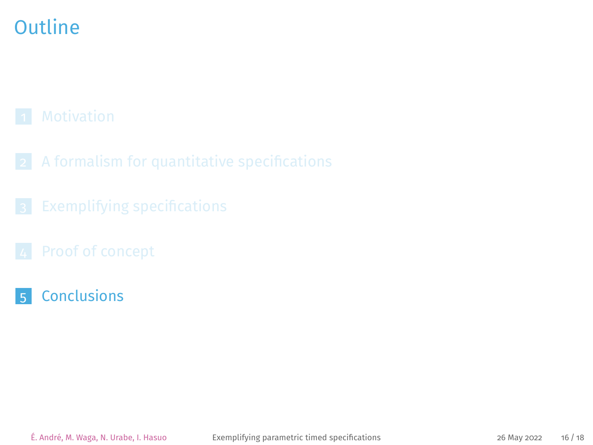## <span id="page-37-0"></span>**Outline**

- 
- 
- 
- 5 [Conclusions](#page-37-0)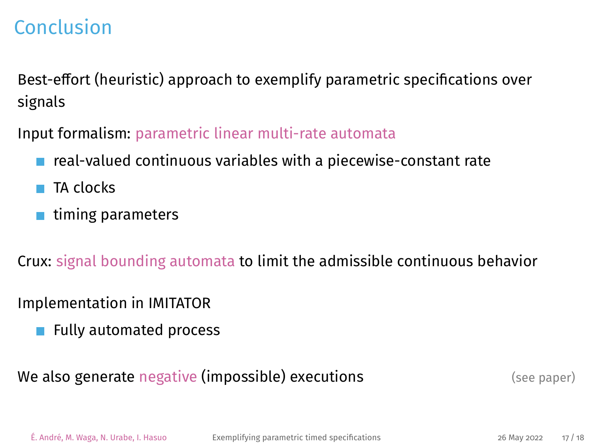## Conclusion

Best-effort (heuristic) approach to exemplify parametric specifications over signals

Input formalism: parametric linear multi-rate automata

- $\blacksquare$  real-valued continuous variables with a piecewise-constant rate
- TA clocks
- $\blacksquare$  timing parameters

Crux: signal bounding automata to limit the admissible continuous behavior

Implementation in [IMITATOR](http://www.imitator.fr/)

Fully automated process

We also generate negative (impossible) executions extended that the same (see paper)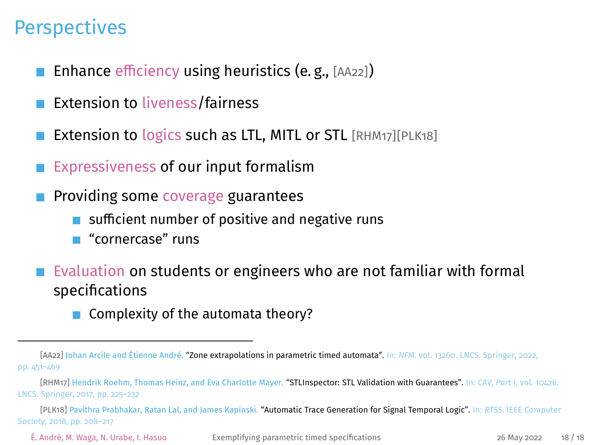## **Perspectives**

- Enhance efficiency using heuristics (e.g.,  $[AA22]$ )
- Extension to liveness/fairness
- Extension to logics such as LTL, MITL or STL [\[RHM17\]](#page-42-2)[\[PLK18\]](#page-42-3)
- Expressiveness of our input formalism
- Providing some coverage guarantees
	- sufficient number of positive and negative runs
	- "cornercase" runs
- Evaluation on students or engineers who are not familiar with formal specifications
	- Complexity of the automata theory?

[<sup>\[</sup>AA22\]](#page-41-3) Johan Arcile and Étienne André. "Zone extrapolations in parametric timed automata". In: *NFM*. vol. 13260. LNCS. Springer, 2022, pp. 451–469

[<sup>\[</sup>RHM17\]](#page-42-2) Hendrik Roehm, Thomas Heinz, and Eva Charlotte Mayer. "STLInspector: STL Validation with Guarantees". In: *CAV, Part I*. vol. 10426. LNCS. Springer, 2017, pp. 225–232

[<sup>\[</sup>PLK18\]](#page-42-3) Pavithra Prabhakar, Ratan Lal, and James Kapinski. "Automatic Trace Generation for Signal Temporal Logic". In: *RTSS*. IEEE Computer Society, 2018, pp. 208–217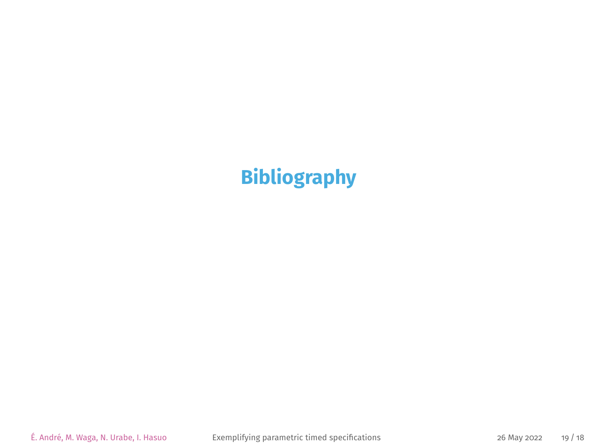## **Bibliography**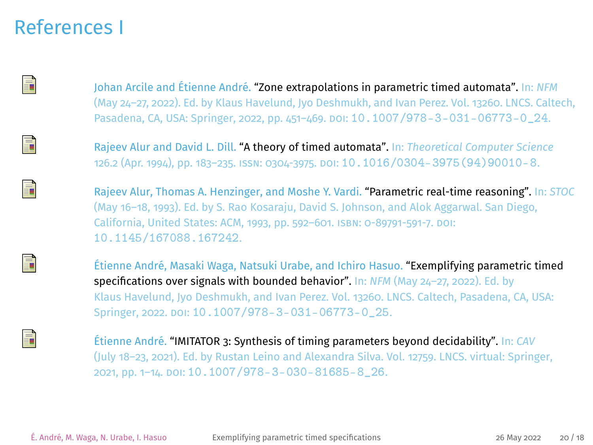#### References I

<span id="page-41-3"></span>

Johan Arcile and Étienne André. "Zone extrapolations in parametric timed automata". In: *NFM* (May 24–27, 2022). Ed. by Klaus Havelund, Jyo Deshmukh, and Ivan Perez. Vol. 13260. LNCS. Caltech, Pasadena, CA, USA: Springer, 2022, pp. 451–469. doi: [10.1007/978-3-031-06773-0\\_24](https://doi.org/10.1007/978-3-031-06773-0_24).

<span id="page-41-1"></span><span id="page-41-0"></span>

Rajeev Alur and David L. Dill. "A theory of timed automata". In: *Theoretical Computer Science* 126.2 (Apr. 1994), pp. 183–235. issn: 0304-3975. doi: [10.1016/0304-3975\(94\)90010-8](https://doi.org/10.1016/0304-3975(94)90010-8).

Rajeev Alur, Thomas A. Henzinger, and Moshe Y. Vardi. "Parametric real-time reasoning". In: *STOC* (May 16–18, 1993). Ed. by S. Rao Kosaraju, David S. Johnson, and Alok Aggarwal. San Diego, California, United States: ACM, 1993, pp. 592–601. isbn: 0-89791-591-7. doi: [10.1145/167088.167242](https://doi.org/10.1145/167088.167242).

Étienne André, Masaki Waga, Natsuki Urabe, and Ichiro Hasuo. "Exemplifying parametric timed specifications over signals with bounded behavior". In: *NFM* (May 24–27, 2022). Ed. by Klaus Havelund, Jyo Deshmukh, and Ivan Perez. Vol. 13260. LNCS. Caltech, Pasadena, CA, USA: Springer, 2022. poi: 10, 1007/978-3-031-06773-0\_25.

<span id="page-41-2"></span>Étienne André. "IMITATOR 3: Synthesis of timing parameters beyond decidability". In: *CAV* (July 18–23, 2021). Ed. by Rustan Leino and Alexandra Silva. Vol. 12759. LNCS. virtual: Springer, 2021, pp. 1–14. doi: [10.1007/978-3-030-81685-8\\_26](https://doi.org/10.1007/978-3-030-81685-8_26).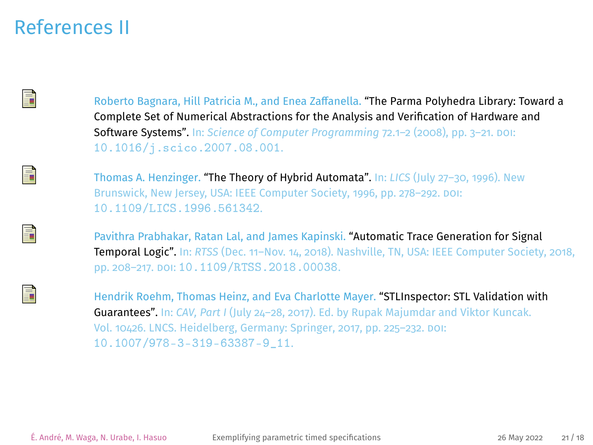#### References II

<span id="page-42-1"></span>

Roberto Bagnara, Hill Patricia M., and Enea Zaffanella. "The Parma Polyhedra Library: Toward a Complete Set of Numerical Abstractions for the Analysis and Verification of Hardware and Software Systems". In: *Science of Computer Programming* 72.1–2 (2008), pp. 3–21. doi: [10.1016/j.scico.2007.08.001](https://doi.org/10.1016/j.scico.2007.08.001).

<span id="page-42-3"></span><span id="page-42-0"></span>

Thomas A. Henzinger. "The Theory of Hybrid Automata". In: *LICS* (July 27–30, 1996). New Brunswick, New Jersey, USA: IEEE Computer Society, 1996, pp. 278–292. doi: [10.1109/LICS.1996.561342](https://doi.org/10.1109/LICS.1996.561342).

Pavithra Prabhakar, Ratan Lal, and James Kapinski. "Automatic Trace Generation for Signal Temporal Logic". In: *RTSS* (Dec. 11–Nov. 14, 2018). Nashville, TN, USA: IEEE Computer Society, 2018, pp. 208–217. doi: [10.1109/RTSS.2018.00038](https://doi.org/10.1109/RTSS.2018.00038).

<span id="page-42-2"></span>Hendrik Roehm, Thomas Heinz, and Eva Charlotte Mayer. "STLInspector: STL Validation with Guarantees". In: *CAV, Part I* (July 24–28, 2017). Ed. by Rupak Majumdar and Viktor Kuncak. Vol. 10426. LNCS. Heidelberg, Germany: Springer, 2017, pp. 225–232. doi: [10.1007/978-3-319-63387-9\\_11](https://doi.org/10.1007/978-3-319-63387-9_11).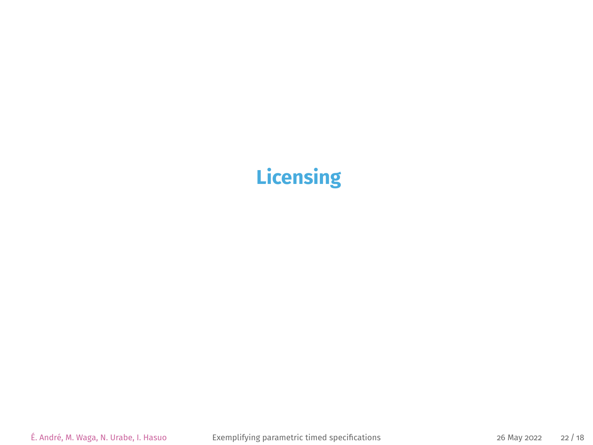## **Licensing**